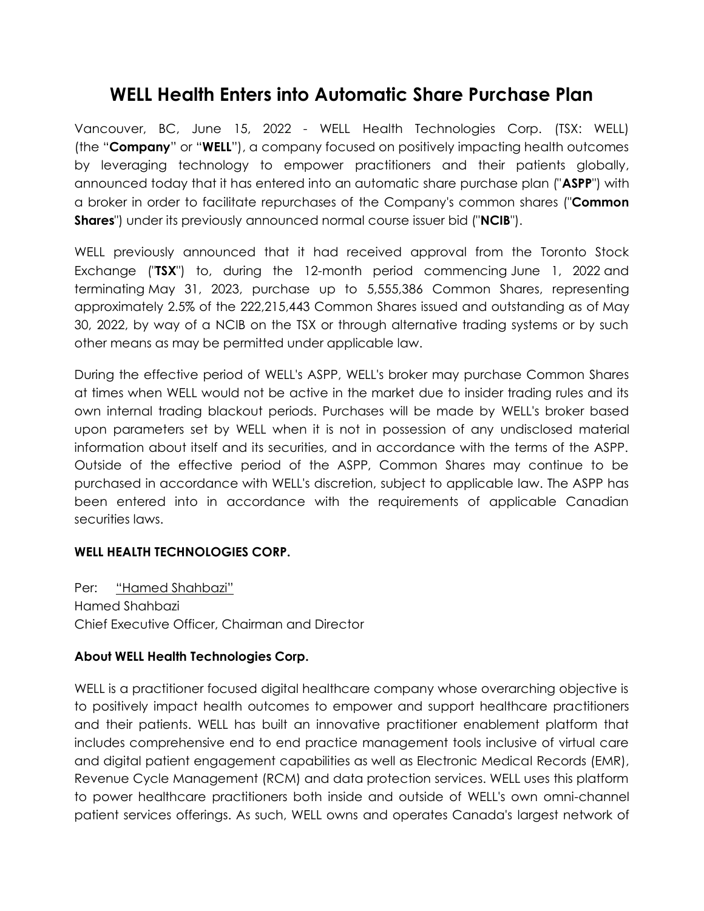## **WELL Health Enters into Automatic Share Purchase Plan**

Vancouver, BC, June 15, 2022 - WELL Health Technologies Corp. (TSX: WELL) (the "**Company**" or "**WELL**"), a company focused on positively impacting health outcomes by leveraging technology to empower practitioners and their patients globally, announced today that it has entered into an automatic share purchase plan ("**ASPP**") with a broker in order to facilitate repurchases of the Company's common shares ("**Common Shares**") under its previously announced normal course issuer bid ("**NCIB**").

WELL previously announced that it had received approval from the Toronto Stock Exchange ("**TSX**") to, during the 12-month period commencing June 1, 2022 and terminating May 31, 2023, purchase up to 5,555,386 Common Shares, representing approximately 2.5% of the 222,215,443 Common Shares issued and outstanding as of May 30, 2022, by way of a NCIB on the TSX or through alternative trading systems or by such other means as may be permitted under applicable law.

During the effective period of WELL's ASPP, WELL's broker may purchase Common Shares at times when WELL would not be active in the market due to insider trading rules and its own internal trading blackout periods. Purchases will be made by WELL's broker based upon parameters set by WELL when it is not in possession of any undisclosed material information about itself and its securities, and in accordance with the terms of the ASPP. Outside of the effective period of the ASPP, Common Shares may continue to be purchased in accordance with WELL's discretion, subject to applicable law. The ASPP has been entered into in accordance with the requirements of applicable Canadian securities laws.

## **WELL HEALTH TECHNOLOGIES CORP.**

Per: "Hamed Shahbazi" Hamed Shahbazi Chief Executive Officer, Chairman and Director

## **About WELL Health Technologies Corp.**

WELL is a practitioner focused digital healthcare company whose overarching objective is to positively impact health outcomes to empower and support healthcare practitioners and their patients. WELL has built an innovative practitioner enablement platform that includes comprehensive end to end practice management tools inclusive of virtual care and digital patient engagement capabilities as well as Electronic Medical Records (EMR), Revenue Cycle Management (RCM) and data protection services. WELL uses this platform to power healthcare practitioners both inside and outside of WELL's own omni-channel patient services offerings. As such, WELL owns and operates Canada's largest network of